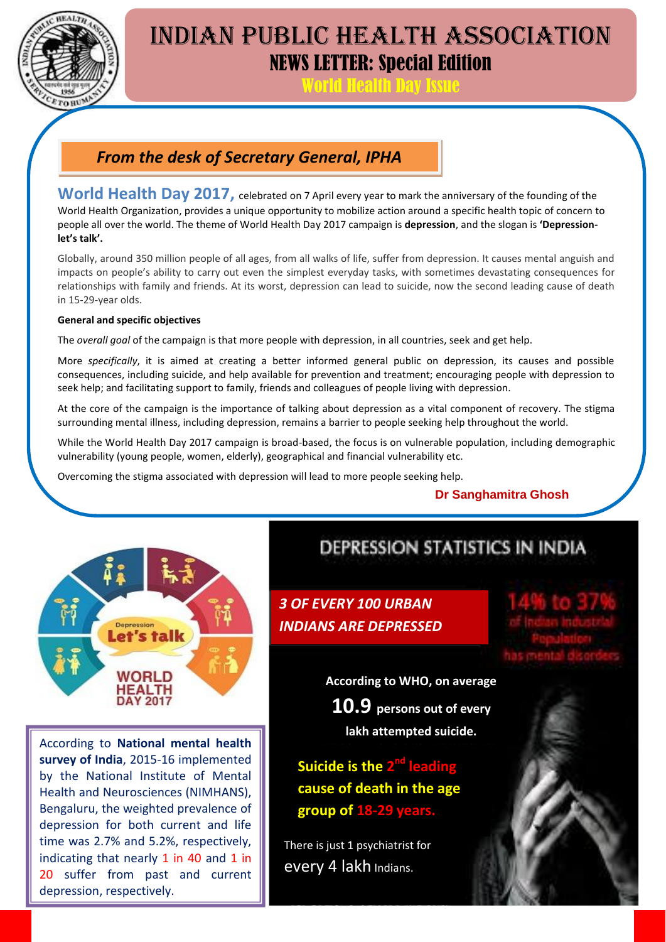

# INDIAN PUBLIC HEALTH ASSOCIATION NEWS LETTER: Special Edition

World Health Day Issue

### *From the desk of Secretary General, IPHA*

**World Health Day 2017, celebrated on 7 April every year to mark the anniversary of the founding of the** World Health Organization, provides a unique opportunity to mobilize action around a specific health topic of concern to people all over the world. The theme of World Health Day 2017 campaign is **depression**, and the slogan is **'Depressionlet's talk'.**

Globally, around 350 million people of all ages, from all walks of life, suffer from depression. It causes mental anguish and impacts on people's ability to carry out even the simplest everyday tasks, with sometimes devastating consequences for relationships with family and friends. At its worst, depression can lead to suicide, now the second leading cause of death in 15-29-year olds.

#### **General and specific objectives**

The *overall goal* of the campaign is that more people with depression, in all countries, seek and get help.

More *specifically*, it is aimed at creating a better informed general public on depression, its causes and possible consequences, including suicide, and help available for prevention and treatment; encouraging people with depression to seek help; and facilitating support to family, friends and colleagues of people living with depression.

At the core of the campaign is the importance of talking about depression as a vital component of recovery. The stigma surrounding mental illness, including depression, remains a barrier to people seeking help throughout the world.

While the World Health Day 2017 campaign is broad-based, the focus is on vulnerable population, including demographic vulnerability (young people, women, elderly), geographical and financial vulnerability etc.

Overcoming the stigma associated with depression will lead to more people seeking help.

#### **Dr Sanghamitra Ghosh**



According to **National mental health survey of India**, 2015-16 implemented by the National Institute of Mental Health and Neurosciences (NIMHANS), Bengaluru, the weighted prevalence of depression for both current and life time was 2.7% and 5.2%, respectively, indicating that nearly 1 in 40 and 1 in 20 suffer from past and current depression, respectively.

## DEPRESSION STATISTICS IN INDIA

*3 OF EVERY 100 URBAN INDIANS ARE DEPRESSED*

**According to WHO, on average 10.9 persons out of every lakh attempted suicide.**

**Suicide is the 2<sup>nd</sup> leading cause of death in the age group of 18-29 years.**

There is just 1 psychiatrist for every 4 lakh Indians.